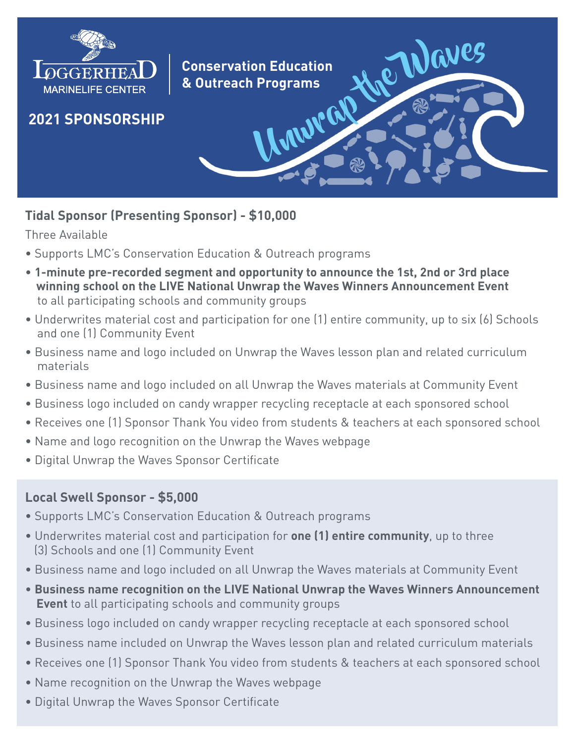

# **Tidal Sponsor (Presenting Sponsor) - \$10,000**

Three Available

- Supports LMC's Conservation Education & Outreach programs
- **1-minute pre-recorded segment and opportunity to announce the 1st, 2nd or 3rd place winning school on the LIVE National Unwrap the Waves Winners Announcement Event** to all participating schools and community groups
- Underwrites material cost and participation for one (1) entire community, up to six (6) Schools and one (1) Community Event
- Business name and logo included on Unwrap the Waves lesson plan and related curriculum materials
- Business name and logo included on all Unwrap the Waves materials at Community Event
- Business logo included on candy wrapper recycling receptacle at each sponsored school
- Receives one (1) Sponsor Thank You video from students & teachers at each sponsored school
- Name and logo recognition on the Unwrap the Waves webpage
- Digital Unwrap the Waves Sponsor Certificate

# **Local Swell Sponsor - \$5,000**

- Supports LMC's Conservation Education & Outreach programs
- Underwrites material cost and participation for **one (1) entire community**, up to three (3) Schools and one (1) Community Event
- Business name and logo included on all Unwrap the Waves materials at Community Event
- **Business name recognition on the LIVE National Unwrap the Waves Winners Announcement Event** to all participating schools and community groups
- Business logo included on candy wrapper recycling receptacle at each sponsored school
- Business name included on Unwrap the Waves lesson plan and related curriculum materials
- Receives one (1) Sponsor Thank You video from students & teachers at each sponsored school
- Name recognition on the Unwrap the Waves webpage
- Digital Unwrap the Waves Sponsor Certificate